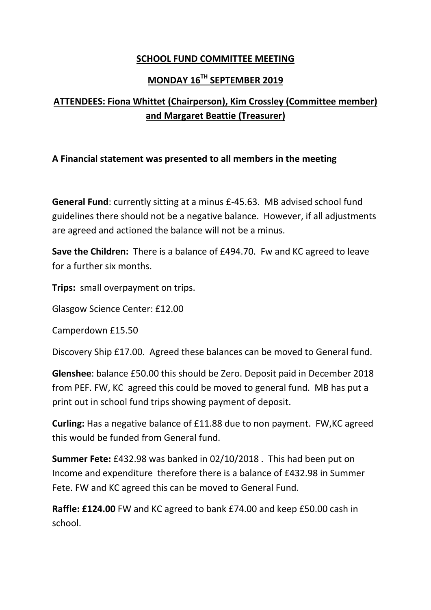## **SCHOOL FUND COMMITTEE MEETING**

## **MONDAY 16TH SEPTEMBER 2019**

## **ATTENDEES: Fiona Whittet (Chairperson), Kim Crossley (Committee member) and Margaret Beattie (Treasurer)**

## **A Financial statement was presented to all members in the meeting**

**General Fund**: currently sitting at a minus £-45.63. MB advised school fund guidelines there should not be a negative balance. However, if all adjustments are agreed and actioned the balance will not be a minus.

**Save the Children:** There is a balance of £494.70. Fw and KC agreed to leave for a further six months.

**Trips:** small overpayment on trips.

Glasgow Science Center: £12.00

Camperdown £15.50

Discovery Ship £17.00. Agreed these balances can be moved to General fund.

**Glenshee**: balance £50.00 this should be Zero. Deposit paid in December 2018 from PEF. FW, KC agreed this could be moved to general fund. MB has put a print out in school fund trips showing payment of deposit.

**Curling:** Has a negative balance of £11.88 due to non payment. FW,KC agreed this would be funded from General fund.

**Summer Fete:** £432.98 was banked in 02/10/2018 . This had been put on Income and expenditure therefore there is a balance of £432.98 in Summer Fete. FW and KC agreed this can be moved to General Fund.

**Raffle: £124.00** FW and KC agreed to bank £74.00 and keep £50.00 cash in school.